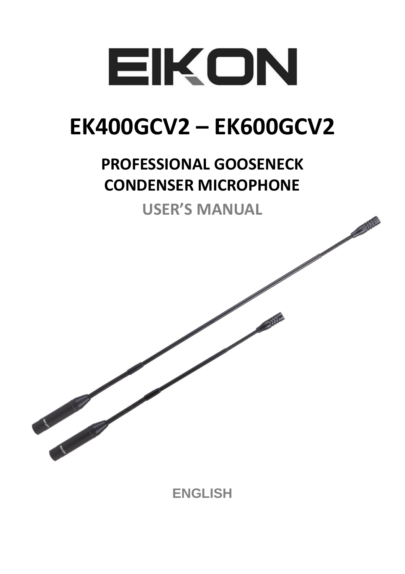

### **EK400GCV2 - EK600GCV2**

### **PROFESSIONAL GOOSENECK CONDENSER MICROPHONE**

**USFR'S MANUAL** 

**ENGLISH**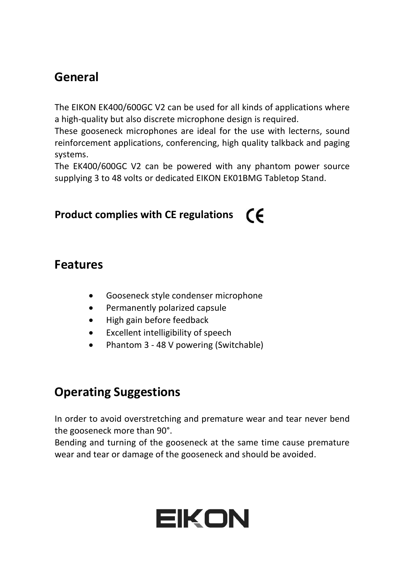### **General**

The EIKON EK400/600GC V2 can be used for all kinds of applications where a high-quality but also discrete microphone design is required.

These gooseneck microphones are ideal for the use with lecterns, sound reinforcement applications, conferencing, high quality talkback and paging systems.

The EK400/600GC V2 can be powered with any phantom power source supplying 3 to 48 volts or dedicated EIKON EK01BMG Tabletop Stand.

### **Product complies with CE regulations**

#### **Features**

- Gooseneck style condenser microphone
- Permanently polarized capsule
- High gain before feedback
- Excellent intelligibility of speech
- Phantom 3 48 V powering (Switchable)

### **Operating Suggestions**

In order to avoid overstretching and premature wear and tear never bend the gooseneck more than 90°.

Bending and turning of the gooseneck at the same time cause premature wear and tear or damage of the gooseneck and should be avoided.

## EIKON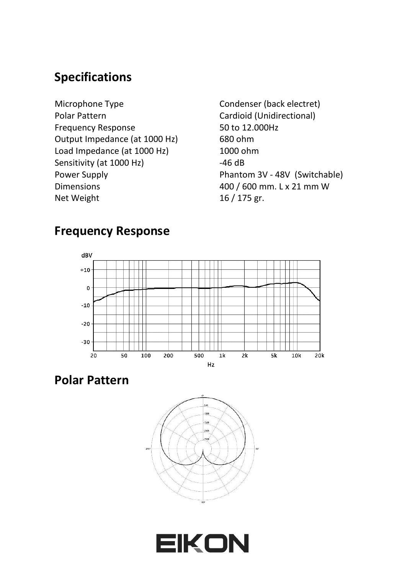### **Specifications**

- Microphone Type Polar Pattern Frequency Response Output Impedance (at 1000 Hz) Load Impedance (at 1000 Hz) Sensitivity (at 1000 Hz) Power Supply Dimensions Net Weight
- Condenser (back electret) Cardioid (Unidirectional) 50 to 12.000Hz 680 ohm 1000 ohm -46 dB Phantom 3V - 48V (Switchable) 400 / 600 mm. L x 21 mm W 16 / 175 gr.

### **Frequency Response**



**Polar Pattern**